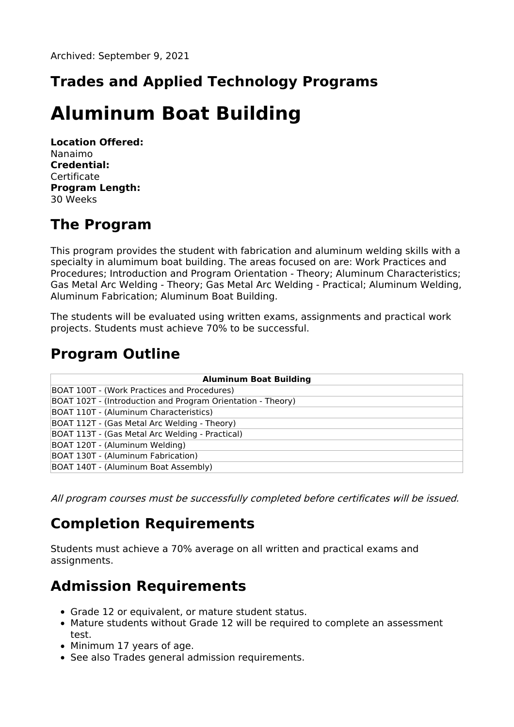# **Trades and Applied Technology Programs**

# **Aluminum Boat Building**

**Location Offered:** Nanaimo **Credential: Certificate Program Length:** 30 Weeks

# **The Program**

This program provides the student with fabrication and aluminum welding skills with a specialty in alumimum boat building. The areas focused on are: Work Practices and Procedures; Introduction and Program Orientation - Theory; Aluminum Characteristics; Gas Metal Arc Welding - Theory; Gas Metal Arc Welding - Practical; Aluminum Welding, Aluminum Fabrication; Aluminum Boat Building.

The students will be evaluated using written exams, assignments and practical work projects. Students must achieve 70% to be successful.

#### **Program Outline**

| <b>Aluminum Boat Building</b>                               |
|-------------------------------------------------------------|
| BOAT 100T - (Work Practices and Procedures)                 |
| BOAT 102T - (Introduction and Program Orientation - Theory) |
| BOAT 110T - (Aluminum Characteristics)                      |
| BOAT 112T - (Gas Metal Arc Welding - Theory)                |
| BOAT 113T - (Gas Metal Arc Welding - Practical)             |
| BOAT 120T - (Aluminum Welding)                              |
| BOAT 130T - (Aluminum Fabrication)                          |
| BOAT 140T - (Aluminum Boat Assembly)                        |

All program courses must be successfully completed before certificates will be issued.

### **Completion Requirements**

Students must achieve a 70% average on all written and practical exams and assignments.

# **Admission Requirements**

- Grade 12 or equivalent, or mature student status.
- Mature students without Grade 12 will be required to complete an assessment test.
- Minimum 17 years of age.
- See also Trades general admission requirements.